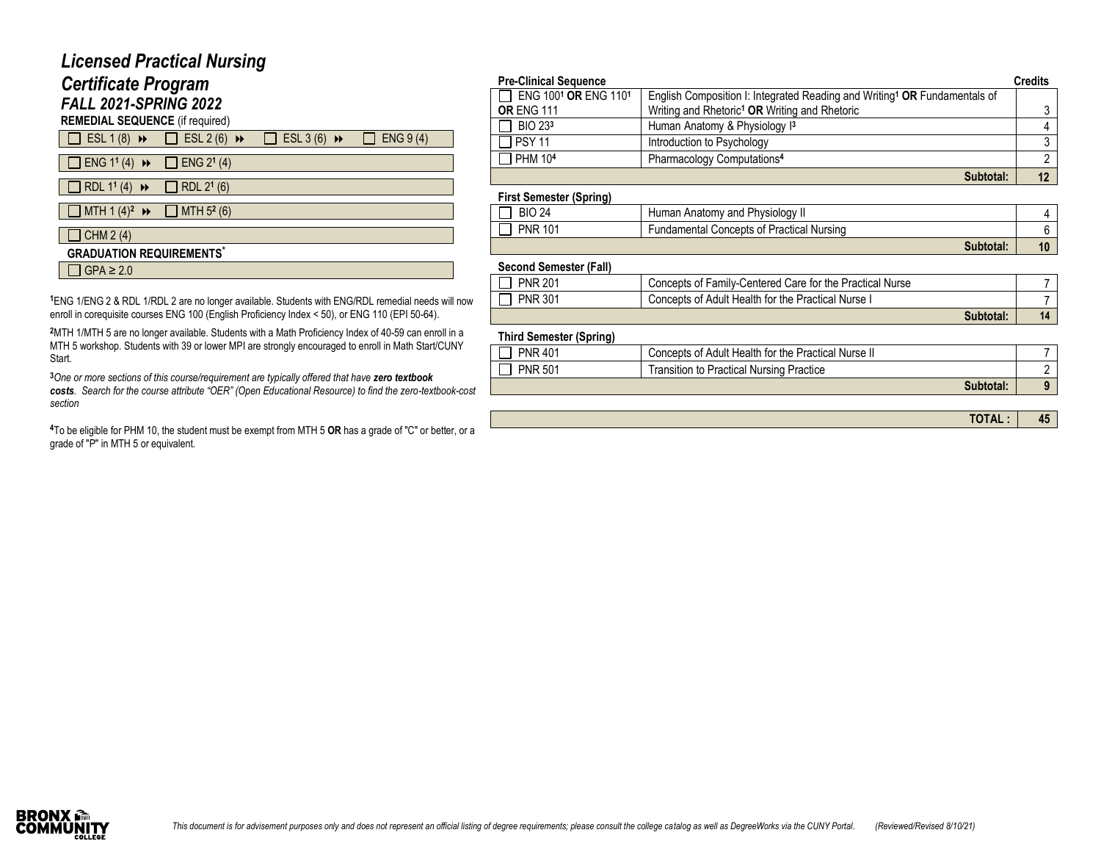## *Licensed Practical Nursing*

# *Certificate Program*

*FALL 2021-SPRING 2022* **REMEDIAL SEQUENCE** (if required)

| <b>REMEDIAL SEQUENCE</b> (IT required |  |
|---------------------------------------|--|
|                                       |  |

| $\Box$ ESL 1 (8) $\rightarrow$ $\Box$ ESL 2 (6) $\rightarrow$             | $\Box$ ESL 3 (6) $\rightarrow$ $\Box$ ENG 9 (4) |  |
|---------------------------------------------------------------------------|-------------------------------------------------|--|
| $\Box$ ENG 1 <sup>1</sup> (4) $\rightarrow$ $\Box$ ENG 2 <sup>1</sup> (4) |                                                 |  |
| RDL 1 <sup>1</sup> (4) $\rightarrow \Box$ RDL 2 <sup>1</sup> (6)          |                                                 |  |
| $\Box$ MTH 1 (4) <sup>2</sup> $\rightarrow \Box$ MTH 5 <sup>2</sup> (6)   |                                                 |  |

#### $\Box$  CHM 2 (4)

#### **GRADUATION REQUIREMENTS\***

 $\Box$  GPA  $\geq$  2.0

**<sup>1</sup>**ENG 1/ENG 2 & RDL 1/RDL 2 are no longer available. Students with ENG/RDL remedial needs will now enroll in corequisite courses ENG 100 (English Proficiency Index < 50), or ENG 110 (EPI 50-64).

**<sup>2</sup>**MTH 1/MTH 5 are no longer available. Students with a Math Proficiency Index of 40-59 can enroll in a MTH 5 workshop. Students with 39 or lower MPI are strongly encouraged to enroll in Math Start/CUNY Start.

**<sup>3</sup>***One or more sections of this course/requirement are typically offered that have zero textbook costs. Search for the course attribute "OER" (Open Educational Resource) to find the zero-textbook-cost section*

**<sup>4</sup>**To be eligible for PHM 10, the student must be exempt from MTH 5 **OR** has a grade of "C" or better, or a grade of "P" in MTH 5 or equivalent.

| <b>Pre-Clinical Sequence</b>                 |                                                                                       | <b>Credits</b> |
|----------------------------------------------|---------------------------------------------------------------------------------------|----------------|
| ENG 100 <sup>1</sup> OR ENG 110 <sup>1</sup> | English Composition I: Integrated Reading and Writing <sup>1</sup> OR Fundamentals of |                |
| <b>OR ENG 111</b>                            | Writing and Rhetoric <sup>1</sup> OR Writing and Rhetoric                             |                |
| $\Box$ BIO 233                               | Human Anatomy & Physiology 13                                                         |                |
| $\Box$ PSY 11                                | Introduction to Psychology                                                            |                |
| $\Box$ PHM 10 <sup>4</sup>                   | Pharmacology Computations <sup>4</sup>                                                |                |
|                                              | Subtotal:                                                                             |                |

#### **First Semester (Spring)**

| . .               |                                           |    |
|-------------------|-------------------------------------------|----|
| 24<br><b>BIO</b>  | Human Anatomy and Physiology In           |    |
| 101<br><b>PNR</b> | Fundamental Concepts of Practical Nursing |    |
|                   | Subtotal:                                 | 10 |

#### **Second Semester (Fall)**

| <b>PNR 201</b> | Concepts of Family-Centered Care for the Practical Nurse |    |
|----------------|----------------------------------------------------------|----|
| <b>PNR 301</b> | Concepts of Adult Health for the Practical Nurse I       |    |
|                | Subtotal:                                                | 14 |

#### **Third Semester (Spring)**

| <b>PNR 401</b> | Concepts of Adult Health for the Practical Nurse II |  |
|----------------|-----------------------------------------------------|--|
| <b>PNR 501</b> | <b>Transition to Practical Nursing Practice</b>     |  |
|                | Subtotal:                                           |  |

**TOTAL : 45**